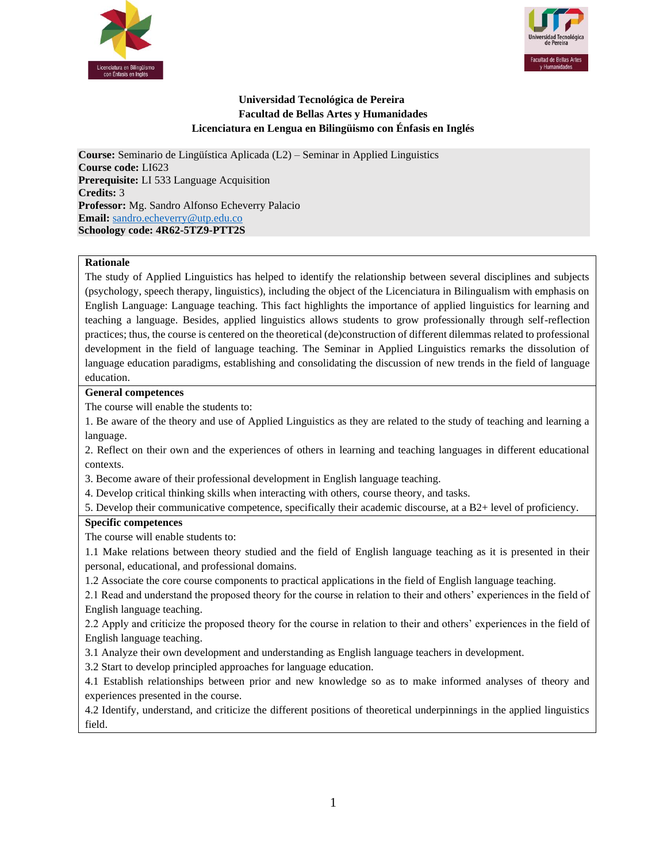



# **Universidad Tecnológica de Pereira Facultad de Bellas Artes y Humanidades Licenciatura en Lengua en Bilingüismo con Énfasis en Inglés**

**Course:** Seminario de Lingüística Aplicada (L2) – Seminar in Applied Linguistics **Course code:** LI623 **Prerequisite:** LI 533 Language Acquisition **Credits:** 3 **Professor:** Mg. Sandro Alfonso Echeverry Palacio **Email:** [sandro.echeverry@utp.edu.co](mailto:sandro.echeverry@utp.edu.co) **Schoology code: 4R62-5TZ9-PTT2S**

#### **Rationale**

The study of Applied Linguistics has helped to identify the relationship between several disciplines and subjects (psychology, speech therapy, linguistics), including the object of the Licenciatura in Bilingualism with emphasis on English Language: Language teaching. This fact highlights the importance of applied linguistics for learning and teaching a language. Besides, applied linguistics allows students to grow professionally through self-reflection practices; thus, the course is centered on the theoretical (de)construction of different dilemmas related to professional development in the field of language teaching. The Seminar in Applied Linguistics remarks the dissolution of language education paradigms, establishing and consolidating the discussion of new trends in the field of language education.

### **General competences**

The course will enable the students to:

1. Be aware of the theory and use of Applied Linguistics as they are related to the study of teaching and learning a language.

2. Reflect on their own and the experiences of others in learning and teaching languages in different educational contexts.

3. Become aware of their professional development in English language teaching.

4. Develop critical thinking skills when interacting with others, course theory, and tasks.

5. Develop their communicative competence, specifically their academic discourse, at a B2+ level of proficiency.

### **Specific competences**

The course will enable students to:

1.1 Make relations between theory studied and the field of English language teaching as it is presented in their personal, educational, and professional domains.

1.2 Associate the core course components to practical applications in the field of English language teaching.

2.1 Read and understand the proposed theory for the course in relation to their and others' experiences in the field of English language teaching.

2.2 Apply and criticize the proposed theory for the course in relation to their and others' experiences in the field of English language teaching.

3.1 Analyze their own development and understanding as English language teachers in development.

3.2 Start to develop principled approaches for language education.

4.1 Establish relationships between prior and new knowledge so as to make informed analyses of theory and experiences presented in the course.

4.2 Identify, understand, and criticize the different positions of theoretical underpinnings in the applied linguistics field.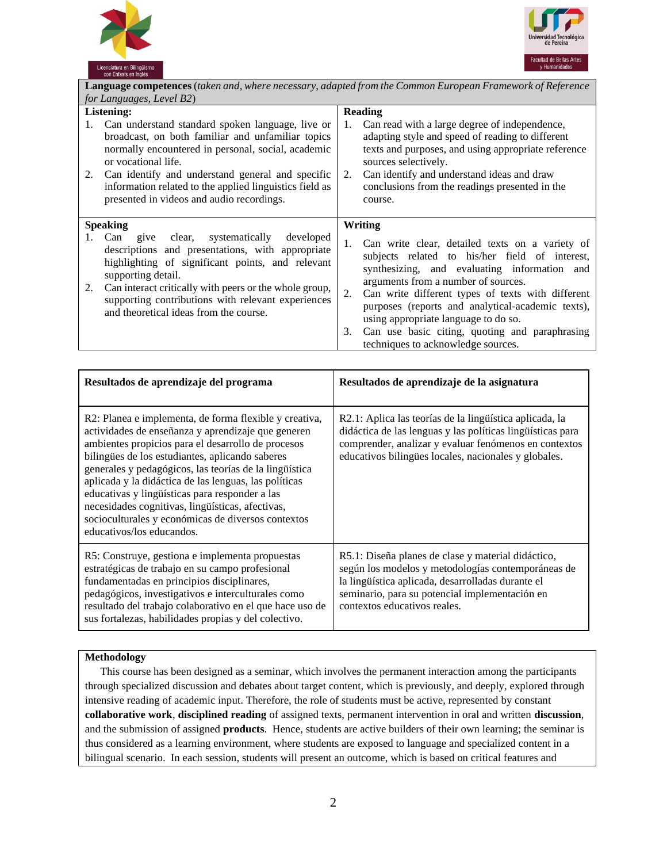



| Language competences (taken and, where necessary, adapted from the Common European Framework of Reference                                                                                                                                                                                                                                                  |                                                                                                                                                                                                                                                                                                                                                                                                                                                      |  |
|------------------------------------------------------------------------------------------------------------------------------------------------------------------------------------------------------------------------------------------------------------------------------------------------------------------------------------------------------------|------------------------------------------------------------------------------------------------------------------------------------------------------------------------------------------------------------------------------------------------------------------------------------------------------------------------------------------------------------------------------------------------------------------------------------------------------|--|
| for Languages, Level B2)                                                                                                                                                                                                                                                                                                                                   |                                                                                                                                                                                                                                                                                                                                                                                                                                                      |  |
| <b>Listening:</b>                                                                                                                                                                                                                                                                                                                                          | <b>Reading</b>                                                                                                                                                                                                                                                                                                                                                                                                                                       |  |
| Can understand standard spoken language, live or<br>1.<br>broadcast, on both familiar and unfamiliar topics<br>normally encountered in personal, social, academic<br>or vocational life.<br>Can identify and understand general and specific<br>2.<br>information related to the applied linguistics field as<br>presented in videos and audio recordings. | Can read with a large degree of independence,<br>1.<br>adapting style and speed of reading to different<br>texts and purposes, and using appropriate reference<br>sources selectively.<br>Can identify and understand ideas and draw<br>2.<br>conclusions from the readings presented in the<br>course.                                                                                                                                              |  |
| <b>Speaking</b>                                                                                                                                                                                                                                                                                                                                            | Writing                                                                                                                                                                                                                                                                                                                                                                                                                                              |  |
| give clear, systematically<br>developed<br>Can<br>1.<br>descriptions and presentations, with appropriate<br>highlighting of significant points, and relevant<br>supporting detail.<br>Can interact critically with peers or the whole group,<br>2.<br>supporting contributions with relevant experiences<br>and theoretical ideas from the course.         | Can write clear, detailed texts on a variety of<br>1.<br>subjects related to his/her field of interest,<br>synthesizing, and evaluating information and<br>arguments from a number of sources.<br>Can write different types of texts with different<br>2.<br>purposes (reports and analytical-academic texts),<br>using appropriate language to do so.<br>Can use basic citing, quoting and paraphrasing<br>3.<br>techniques to acknowledge sources. |  |

| Resultados de aprendizaje del programa                                                                                                                                                                                                                                                                                                                                                                                                                                                                                            | Resultados de aprendizaje de la asignatura                                                                                                                                                                                                      |
|-----------------------------------------------------------------------------------------------------------------------------------------------------------------------------------------------------------------------------------------------------------------------------------------------------------------------------------------------------------------------------------------------------------------------------------------------------------------------------------------------------------------------------------|-------------------------------------------------------------------------------------------------------------------------------------------------------------------------------------------------------------------------------------------------|
| R2: Planea e implementa, de forma flexible y creativa,<br>actividades de enseñanza y aprendizaje que generen<br>ambientes propicios para el desarrollo de procesos<br>bilingües de los estudiantes, aplicando saberes<br>generales y pedagógicos, las teorías de la lingüística<br>aplicada y la didáctica de las lenguas, las políticas<br>educativas y lingüísticas para responder a las<br>necesidades cognitivas, lingüísticas, afectivas,<br>socioculturales y económicas de diversos contextos<br>educativos/los educandos. | R2.1: Aplica las teorías de la lingüística aplicada, la<br>didáctica de las lenguas y las políticas lingüísticas para<br>comprender, analizar y evaluar fenómenos en contextos<br>educativos bilingües locales, nacionales y globales.          |
| R5: Construye, gestiona e implementa propuestas<br>estratégicas de trabajo en su campo profesional<br>fundamentadas en principios disciplinares,<br>pedagógicos, investigativos e interculturales como<br>resultado del trabajo colaborativo en el que hace uso de<br>sus fortalezas, habilidades propias y del colectivo.                                                                                                                                                                                                        | R5.1: Diseña planes de clase y material didáctico,<br>según los modelos y metodologías contemporáneas de<br>la lingüística aplicada, desarrolladas durante el<br>seminario, para su potencial implementación en<br>contextos educativos reales. |

# **Methodology**

This course has been designed as a seminar, which involves the permanent interaction among the participants through specialized discussion and debates about target content, which is previously, and deeply, explored through intensive reading of academic input. Therefore, the role of students must be active, represented by constant **collaborative work**, **disciplined reading** of assigned texts, permanent intervention in oral and written **discussion**, and the submission of assigned **products**. Hence, students are active builders of their own learning; the seminar is thus considered as a learning environment, where students are exposed to language and specialized content in a bilingual scenario. In each session, students will present an outcome, which is based on critical features and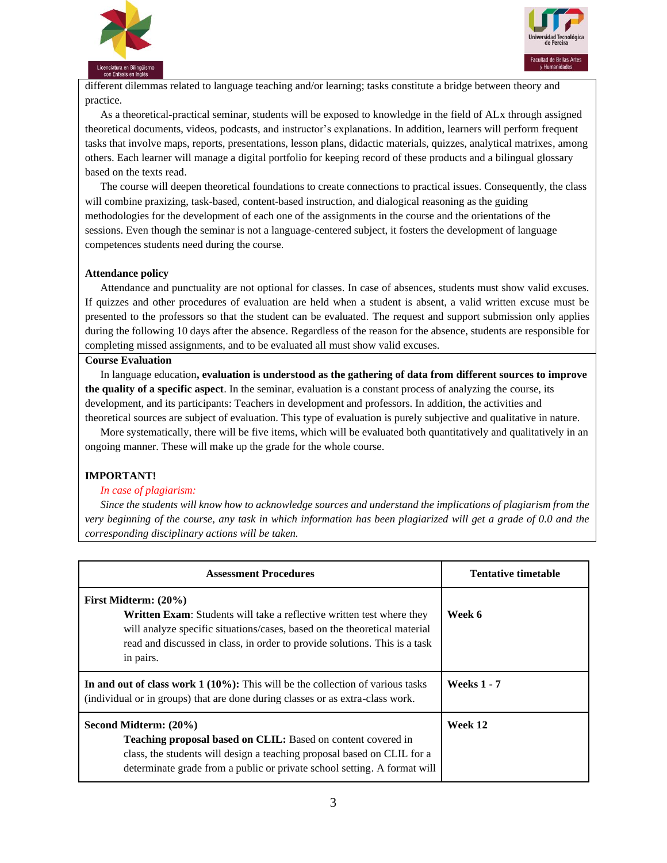



different dilemmas related to language teaching and/or learning; tasks constitute a bridge between theory and practice.

As a theoretical-practical seminar, students will be exposed to knowledge in the field of ALx through assigned theoretical documents, videos, podcasts, and instructor's explanations. In addition, learners will perform frequent tasks that involve maps, reports, presentations, lesson plans, didactic materials, quizzes, analytical matrixes, among others. Each learner will manage a digital portfolio for keeping record of these products and a bilingual glossary based on the texts read.

The course will deepen theoretical foundations to create connections to practical issues. Consequently, the class will combine praxizing, task-based, content-based instruction, and dialogical reasoning as the guiding methodologies for the development of each one of the assignments in the course and the orientations of the sessions. Even though the seminar is not a language-centered subject, it fosters the development of language competences students need during the course.

#### **Attendance policy**

Attendance and punctuality are not optional for classes. In case of absences, students must show valid excuses. If quizzes and other procedures of evaluation are held when a student is absent, a valid written excuse must be presented to the professors so that the student can be evaluated. The request and support submission only applies during the following 10 days after the absence. Regardless of the reason for the absence, students are responsible for completing missed assignments, and to be evaluated all must show valid excuses.

## **Course Evaluation**

In language education**, evaluation is understood as the gathering of data from different sources to improve the quality of a specific aspect**. In the seminar, evaluation is a constant process of analyzing the course, its development, and its participants: Teachers in development and professors. In addition, the activities and theoretical sources are subject of evaluation. This type of evaluation is purely subjective and qualitative in nature.

More systematically, there will be five items, which will be evaluated both quantitatively and qualitatively in an ongoing manner. These will make up the grade for the whole course.

### **IMPORTANT!**

### *In case of plagiarism:*

*Since the students will know how to acknowledge sources and understand the implications of plagiarism from the very beginning of the course, any task in which information has been plagiarized will get a grade of 0.0 and the corresponding disciplinary actions will be taken.*

| <b>Assessment Procedures</b>                                                                                                                                                                                                                                                 | <b>Tentative timetable</b> |
|------------------------------------------------------------------------------------------------------------------------------------------------------------------------------------------------------------------------------------------------------------------------------|----------------------------|
| First Midterm: (20%)<br><b>Written Exam:</b> Students will take a reflective written test where they<br>will analyze specific situations/cases, based on the theoretical material<br>read and discussed in class, in order to provide solutions. This is a task<br>in pairs. | Week 6                     |
| In and out of class work $1(10\%)$ : This will be the collection of various tasks<br>(individual or in groups) that are done during classes or as extra-class work.                                                                                                          | <b>Weeks 1 - 7</b>         |
| Second Midterm: (20%)<br>Teaching proposal based on CLIL: Based on content covered in<br>class, the students will design a teaching proposal based on CLIL for a<br>determinate grade from a public or private school setting. A format will                                 | Week 12                    |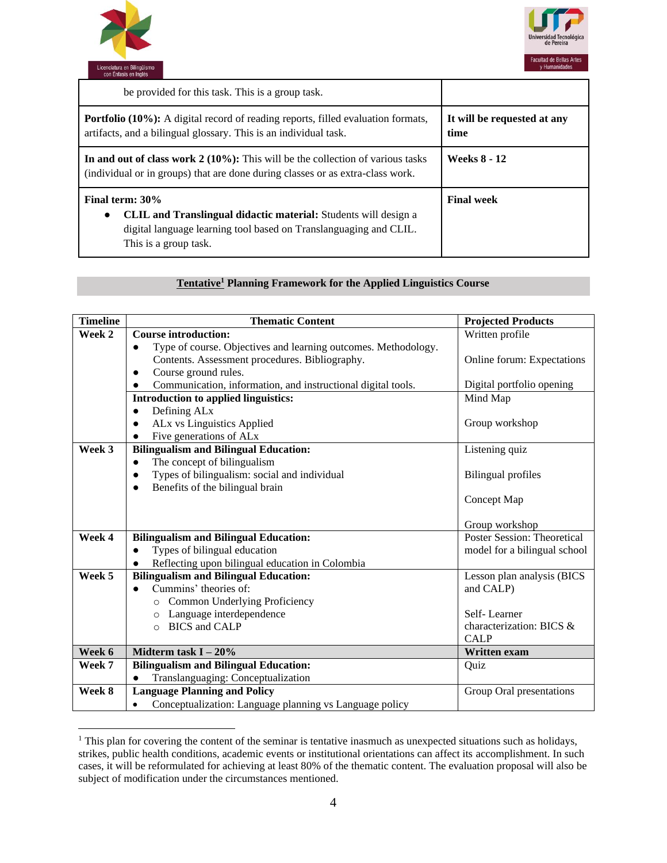



| be provided for this task. This is a group task.                                                                                                                                              |                                     |
|-----------------------------------------------------------------------------------------------------------------------------------------------------------------------------------------------|-------------------------------------|
| Portfolio (10%): A digital record of reading reports, filled evaluation formats,<br>artifacts, and a bilingual glossary. This is an individual task.                                          | It will be requested at any<br>time |
| In and out of class work $2(10\%)$ : This will be the collection of various tasks<br>(individual or in groups) that are done during classes or as extra-class work.                           | <b>Weeks 8 - 12</b>                 |
| Final term: 30%<br>CLIL and Translingual didactic material: Students will design a<br>$\bullet$<br>digital language learning tool based on Translanguaging and CLIL.<br>This is a group task. | <b>Final week</b>                   |

# **Tentative<sup>1</sup> Planning Framework for the Applied Linguistics Course**

| <b>Timeline</b> | <b>Thematic Content</b>                                                     | <b>Projected Products</b>               |
|-----------------|-----------------------------------------------------------------------------|-----------------------------------------|
| Week 2          | <b>Course introduction:</b>                                                 | Written profile                         |
|                 | Type of course. Objectives and learning outcomes. Methodology.<br>$\bullet$ |                                         |
|                 | Contents. Assessment procedures. Bibliography.                              | Online forum: Expectations              |
|                 | Course ground rules.                                                        |                                         |
|                 | Communication, information, and instructional digital tools.                | Digital portfolio opening               |
|                 | Introduction to applied linguistics:                                        | Mind Map                                |
|                 | Defining AL <sub>x</sub><br>$\bullet$                                       |                                         |
|                 | ALx vs Linguistics Applied                                                  | Group workshop                          |
|                 | Five generations of ALx                                                     |                                         |
| Week 3          | <b>Bilingualism and Bilingual Education:</b>                                | Listening quiz                          |
|                 | The concept of bilingualism<br>$\bullet$                                    |                                         |
|                 | Types of bilingualism: social and individual<br>$\bullet$                   | <b>Bilingual profiles</b>               |
|                 | Benefits of the bilingual brain<br>$\bullet$                                |                                         |
|                 |                                                                             | Concept Map                             |
|                 |                                                                             |                                         |
|                 |                                                                             | Group workshop                          |
| Week 4          | <b>Bilingualism and Bilingual Education:</b>                                | <b>Poster Session: Theoretical</b>      |
|                 | Types of bilingual education<br>$\bullet$                                   | model for a bilingual school            |
|                 | Reflecting upon bilingual education in Colombia                             |                                         |
| Week 5          | <b>Bilingualism and Bilingual Education:</b>                                | Lesson plan analysis (BICS              |
|                 | Cummins' theories of:<br>$\bullet$                                          | and CALP)                               |
|                 | Common Underlying Proficiency<br>$\circ$                                    |                                         |
|                 | o Language interdependence                                                  | Self-Learner                            |
|                 | O BICS and CALP                                                             | characterization: BICS &<br><b>CALP</b> |
|                 |                                                                             |                                         |
| Week 6          | Midterm task $I - 20\%$                                                     | Written exam                            |
| Week 7          | <b>Bilingualism and Bilingual Education:</b>                                | Ouiz                                    |
|                 | Translanguaging: Conceptualization<br>$\bullet$                             |                                         |
| Week 8          | <b>Language Planning and Policy</b>                                         | Group Oral presentations                |
|                 | Conceptualization: Language planning vs Language policy<br>$\bullet$        |                                         |

<sup>&</sup>lt;sup>1</sup> This plan for covering the content of the seminar is tentative inasmuch as unexpected situations such as holidays, strikes, public health conditions, academic events or institutional orientations can affect its accomplishment. In such cases, it will be reformulated for achieving at least 80% of the thematic content. The evaluation proposal will also be subject of modification under the circumstances mentioned.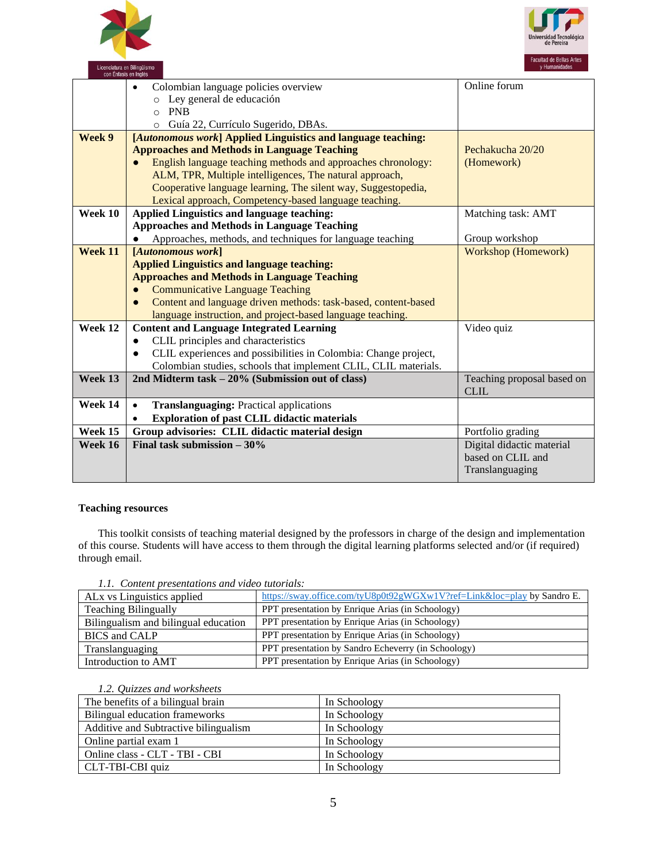



|         |                                                                 | Online forum               |
|---------|-----------------------------------------------------------------|----------------------------|
|         | Colombian language policies overview                            |                            |
|         | Ley general de educación                                        |                            |
|         | <b>PNB</b><br>$\circ$                                           |                            |
|         | Guía 22, Currículo Sugerido, DBAs.<br>O                         |                            |
| Week 9  | [Autonomous work] Applied Linguistics and language teaching:    |                            |
|         | <b>Approaches and Methods in Language Teaching</b>              | Pechakucha 20/20           |
|         | English language teaching methods and approaches chronology:    | (Homework)                 |
|         | ALM, TPR, Multiple intelligences, The natural approach,         |                            |
|         | Cooperative language learning, The silent way, Suggestopedia,   |                            |
|         | Lexical approach, Competency-based language teaching.           |                            |
| Week 10 | <b>Applied Linguistics and language teaching:</b>               | Matching task: AMT         |
|         | <b>Approaches and Methods in Language Teaching</b>              |                            |
|         | Approaches, methods, and techniques for language teaching       | Group workshop             |
| Week 11 | [Autonomous work]                                               | <b>Workshop (Homework)</b> |
|         | <b>Applied Linguistics and language teaching:</b>               |                            |
|         | <b>Approaches and Methods in Language Teaching</b>              |                            |
|         | <b>Communicative Language Teaching</b>                          |                            |
|         | Content and language driven methods: task-based, content-based  |                            |
|         | language instruction, and project-based language teaching.      |                            |
| Week 12 | <b>Content and Language Integrated Learning</b>                 | Video quiz                 |
|         | CLIL principles and characteristics                             |                            |
|         | CLIL experiences and possibilities in Colombia: Change project, |                            |
|         | Colombian studies, schools that implement CLIL, CLIL materials. |                            |
| Week 13 | 2nd Midterm task – 20% (Submission out of class)                | Teaching proposal based on |
|         |                                                                 | <b>CLIL</b>                |
| Week 14 | <b>Translanguaging: Practical applications</b><br>$\bullet$     |                            |
|         | <b>Exploration of past CLIL didactic materials</b>              |                            |
| Week 15 | Group advisories: CLIL didactic material design                 | Portfolio grading          |
| Week 16 | Final task submission $-30\%$                                   | Digital didactic material  |
|         |                                                                 | based on CLIL and          |
|         |                                                                 | Translanguaging            |
|         |                                                                 |                            |

## **Teaching resources**

This toolkit consists of teaching material designed by the professors in charge of the design and implementation of this course. Students will have access to them through the digital learning platforms selected and/or (if required) through email.

*1.1. Content presentations and video tutorials:*

| AL <sub>x</sub> vs Linguistics applied | https://sway.office.com/tyU8p0t92gWGXw1V?ref=Link&loc=play by Sandro E. |
|----------------------------------------|-------------------------------------------------------------------------|
| <b>Teaching Bilingually</b>            | <b>PPT</b> presentation by Enrique Arias (in Schoology)                 |
| Bilingualism and bilingual education   | PPT presentation by Enrique Arias (in Schoology)                        |
| <b>BICS</b> and CALP                   | PPT presentation by Enrique Arias (in Schoology)                        |
| Translanguaging                        | <b>PPT</b> presentation by Sandro Echeverry (in Schoology)              |
| Introduction to AMT                    | PPT presentation by Enrique Arias (in Schoology)                        |

#### *1.2. Quizzes and worksheets*

| The benefits of a bilingual brain     | In Schoology |
|---------------------------------------|--------------|
| Bilingual education frameworks        | In Schoology |
| Additive and Subtractive bilingualism | In Schoology |
| Online partial exam 1                 | In Schoology |
| Online class - CLT - TBI - CBI        | In Schoology |
| CLT-TBI-CBI quiz                      | In Schoology |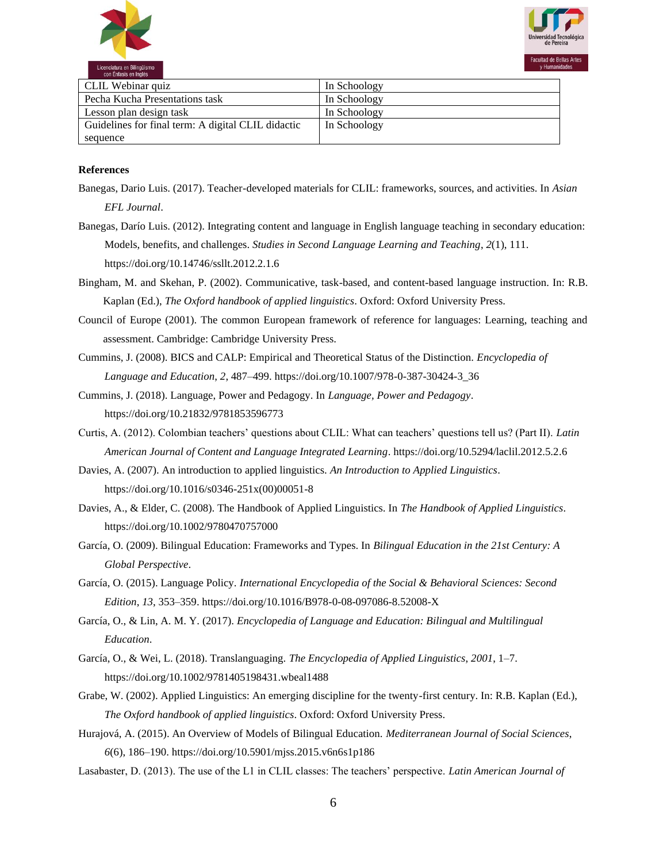



| CLIL Webinar quiz                                  | In Schoology |
|----------------------------------------------------|--------------|
| Pecha Kucha Presentations task                     | In Schoology |
| Lesson plan design task                            | In Schoology |
| Guidelines for final term: A digital CLIL didactic | In Schoology |
| sequence                                           |              |

#### **References**

- Banegas, Dario Luis. (2017). Teacher-developed materials for CLIL: frameworks, sources, and activities. In *Asian EFL Journal*.
- Banegas, Darío Luis. (2012). Integrating content and language in English language teaching in secondary education: Models, benefits, and challenges. *Studies in Second Language Learning and Teaching*, *2*(1), 111. https://doi.org/10.14746/ssllt.2012.2.1.6
- Bingham, M. and Skehan, P. (2002). Communicative, task-based, and content-based language instruction. In: R.B. Kaplan (Ed.), *The Oxford handbook of applied linguistics*. Oxford: Oxford University Press.
- Council of Europe (2001). The common European framework of reference for languages: Learning, teaching and assessment. Cambridge: Cambridge University Press.
- Cummins, J. (2008). BICS and CALP: Empirical and Theoretical Status of the Distinction. *Encyclopedia of Language and Education*, *2*, 487–499. https://doi.org/10.1007/978-0-387-30424-3\_36
- Cummins, J. (2018). Language, Power and Pedagogy. In *Language, Power and Pedagogy*. https://doi.org/10.21832/9781853596773
- Curtis, A. (2012). Colombian teachers' questions about CLIL: What can teachers' questions tell us? (Part II). *Latin American Journal of Content and Language Integrated Learning*. https://doi.org/10.5294/laclil.2012.5.2.6
- Davies, A. (2007). An introduction to applied linguistics. *An Introduction to Applied Linguistics*. https://doi.org/10.1016/s0346-251x(00)00051-8
- Davies, A., & Elder, C. (2008). The Handbook of Applied Linguistics. In *The Handbook of Applied Linguistics*. https://doi.org/10.1002/9780470757000
- García, O. (2009). Bilingual Education: Frameworks and Types. In *Bilingual Education in the 21st Century: A Global Perspective*.
- García, O. (2015). Language Policy. *International Encyclopedia of the Social & Behavioral Sciences: Second Edition*, *13*, 353–359. https://doi.org/10.1016/B978-0-08-097086-8.52008-X
- García, O., & Lin, A. M. Y. (2017). *Encyclopedia of Language and Education: Bilingual and Multilingual Education*.
- García, O., & Wei, L. (2018). Translanguaging. *The Encyclopedia of Applied Linguistics*, *2001*, 1–7. https://doi.org/10.1002/9781405198431.wbeal1488
- Grabe, W. (2002). Applied Linguistics: An emerging discipline for the twenty-first century. In: R.B. Kaplan (Ed.), *The Oxford handbook of applied linguistics*. Oxford: Oxford University Press.
- Hurajová, A. (2015). An Overview of Models of Bilingual Education. *Mediterranean Journal of Social Sciences*, *6*(6), 186–190. https://doi.org/10.5901/mjss.2015.v6n6s1p186
- Lasabaster, D. (2013). The use of the L1 in CLIL classes: The teachers' perspective. *Latin American Journal of*